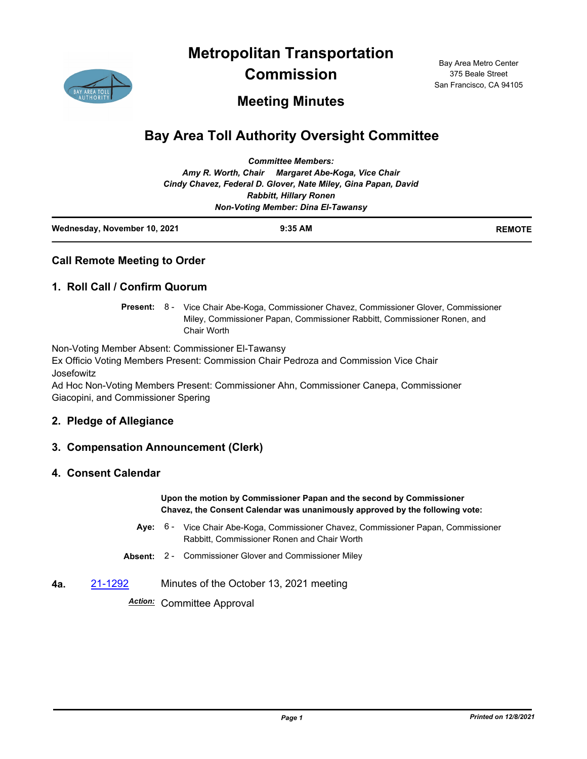**Metropolitan Transportation** 



**Commission**

Bay Area Metro Center 375 Beale Street San Francisco, CA 94105

## **Meeting Minutes**

# **Bay Area Toll Authority Oversight Committee**

| <b>Committee Members:</b>                                      |
|----------------------------------------------------------------|
| Amy R. Worth, Chair Margaret Abe-Koga, Vice Chair              |
| Cindy Chavez, Federal D. Glover, Nate Miley, Gina Papan, David |
| <b>Rabbitt, Hillary Ronen</b>                                  |
| <b>Non-Voting Member: Dina El-Tawansy</b>                      |
|                                                                |

| Wednesday, November 10, 2021 | $9:35$ AM | <b>REMOTE</b> |
|------------------------------|-----------|---------------|
|                              |           |               |

## **Call Remote Meeting to Order**

## **1. Roll Call / Confirm Quorum**

Present: 8 - Vice Chair Abe-Koga, Commissioner Chavez, Commissioner Glover, Commissioner Miley, Commissioner Papan, Commissioner Rabbitt, Commissioner Ronen, and Chair Worth

Non-Voting Member Absent: Commissioner El-Tawansy Ex Officio Voting Members Present: Commission Chair Pedroza and Commission Vice Chair Josefowitz

Ad Hoc Non-Voting Members Present: Commissioner Ahn, Commissioner Canepa, Commissioner Giacopini, and Commissioner Spering

## **2. Pledge of Allegiance**

## **3. Compensation Announcement (Clerk)**

## **4. Consent Calendar**

**Upon the motion by Commissioner Papan and the second by Commissioner Chavez, the Consent Calendar was unanimously approved by the following vote:**

- Aye: 6 Vice Chair Abe-Koga, Commissioner Chavez, Commissioner Papan, Commissioner Rabbitt, Commissioner Ronen and Chair Worth
- **Absent:** 2 Commissioner Glover and Commissioner Miley
- **4a.** [21-1292](http://mtc.legistar.com/gateway.aspx?m=l&id=/matter.aspx?key=22884) Minutes of the October 13, 2021 meeting

*Action:* Committee Approval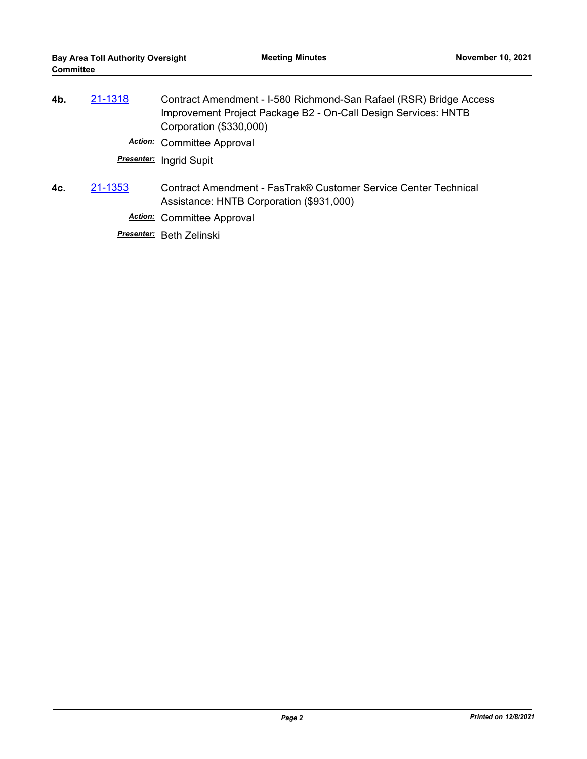- **4b.** [21-1318](http://mtc.legistar.com/gateway.aspx?m=l&id=/matter.aspx?key=22911) Contract Amendment I-580 Richmond-San Rafael (RSR) Bridge Access Improvement Project Package B2 - On-Call Design Services: HNTB Corporation (\$330,000) *Action:* Committee Approval *Presenter:* Ingrid Supit
- **4c.** [21-1353](http://mtc.legistar.com/gateway.aspx?m=l&id=/matter.aspx?key=22946) Contract Amendment FasTrak® Customer Service Center Technical Assistance: HNTB Corporation (\$931,000)

*Action:* Committee Approval

*Presenter:* Beth Zelinski